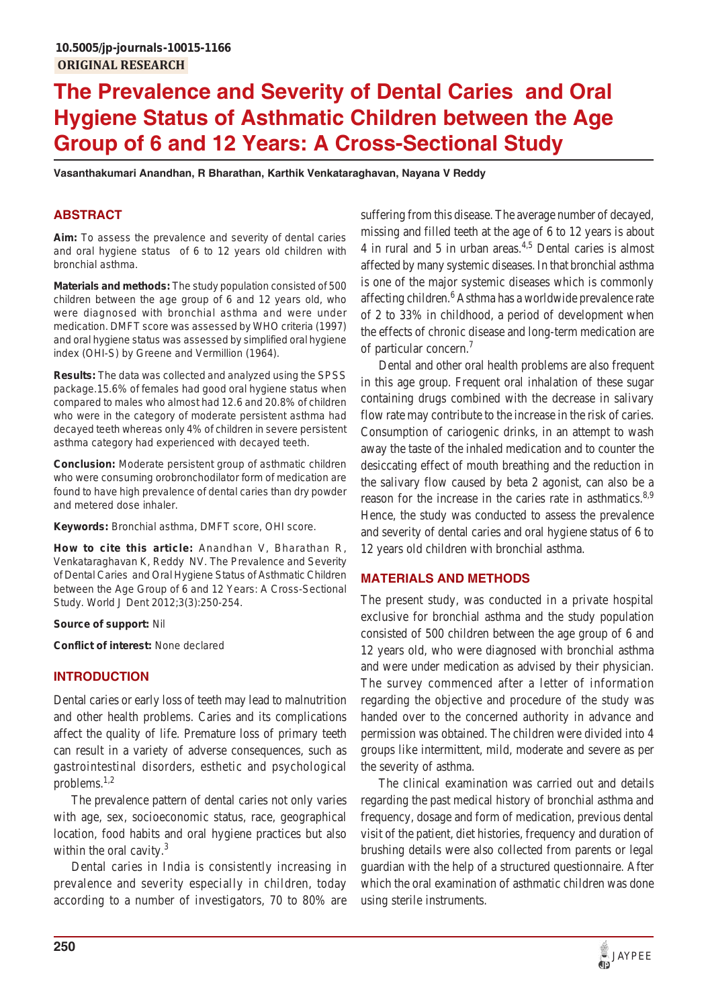# **The Prevalence and Severity of Dental Caries and Oral Hygiene Status of Asthmatic Children between the Age Group of 6 and 12 Years: A Cross-Sectional Study**

**Vasanthakumari Anandhan, R Bharathan, Karthik Venkataraghavan, Nayana V Reddy**

# **ABSTRACT**

**Aim:** To assess the prevalence and severity of dental caries and oral hygiene status of 6 to 12 years old children with bronchial asthma.

**Materials and methods:** The study population consisted of 500 children between the age group of 6 and 12 years old, who were diagnosed with bronchial asthma and were under medication. DMFT score was assessed by WHO criteria (1997) and oral hygiene status was assessed by simplified oral hygiene index (OHI-S) by Greene and Vermillion (1964).

**Results:** The data was collected and analyzed using the SPSS package.15.6% of females had good oral hygiene status when compared to males who almost had 12.6 and 20.8% of children who were in the category of moderate persistent asthma had decayed teeth whereas only 4% of children in severe persistent asthma category had experienced with decayed teeth.

**Conclusion:** Moderate persistent group of asthmatic children who were consuming orobronchodilator form of medication are found to have high prevalence of dental caries than dry powder and metered dose inhaler.

**Keywords:** Bronchial asthma, DMFT score, OHI score.

**How to cite this article:** Anandhan V, Bharathan R, Venkataraghavan K, Reddy NV. The Prevalence and Severity of Dental Caries and Oral Hygiene Status of Asthmatic Children between the Age Group of 6 and 12 Years: A Cross-Sectional Study. World J Dent 2012;3(3):250-254.

#### **Source of support:** Nil

**Conflict of interest:** None declared

### **INTRODUCTION**

Dental caries or early loss of teeth may lead to malnutrition and other health problems. Caries and its complications affect the quality of life. Premature loss of primary teeth can result in a variety of adverse consequences, such as gastrointestinal disorders, esthetic and psychological problems.1,2

The prevalence pattern of dental caries not only varies with age, sex, socioeconomic status, race, geographical location, food habits and oral hygiene practices but also within the oral cavity.<sup>3</sup>

Dental caries in India is consistently increasing in prevalence and severity especially in children, today according to a number of investigators, 70 to 80% are

suffering from this disease. The average number of decayed, missing and filled teeth at the age of 6 to 12 years is about 4 in rural and 5 in urban areas.<sup>4,5</sup> Dental caries is almost affected by many systemic diseases. In that bronchial asthma is one of the major systemic diseases which is commonly affecting children.<sup>6</sup> Asthma has a worldwide prevalence rate of 2 to 33% in childhood, a period of development when the effects of chronic disease and long-term medication are of particular concern.7

Dental and other oral health problems are also frequent in this age group. Frequent oral inhalation of these sugar containing drugs combined with the decrease in salivary flow rate may contribute to the increase in the risk of caries. Consumption of cariogenic drinks, in an attempt to wash away the taste of the inhaled medication and to counter the desiccating effect of mouth breathing and the reduction in the salivary flow caused by beta 2 agonist, can also be a reason for the increase in the caries rate in asthmatics.<sup>8,9</sup> Hence, the study was conducted to assess the prevalence and severity of dental caries and oral hygiene status of 6 to 12 years old children with bronchial asthma.

### **MATERIALS AND METHODS**

The present study, was conducted in a private hospital exclusive for bronchial asthma and the study population consisted of 500 children between the age group of 6 and 12 years old, who were diagnosed with bronchial asthma and were under medication as advised by their physician. The survey commenced after a letter of information regarding the objective and procedure of the study was handed over to the concerned authority in advance and permission was obtained. The children were divided into 4 groups like intermittent, mild, moderate and severe as per the severity of asthma.

The clinical examination was carried out and details regarding the past medical history of bronchial asthma and frequency, dosage and form of medication, previous dental visit of the patient, diet histories, frequency and duration of brushing details were also collected from parents or legal guardian with the help of a structured questionnaire. After which the oral examination of asthmatic children was done using sterile instruments.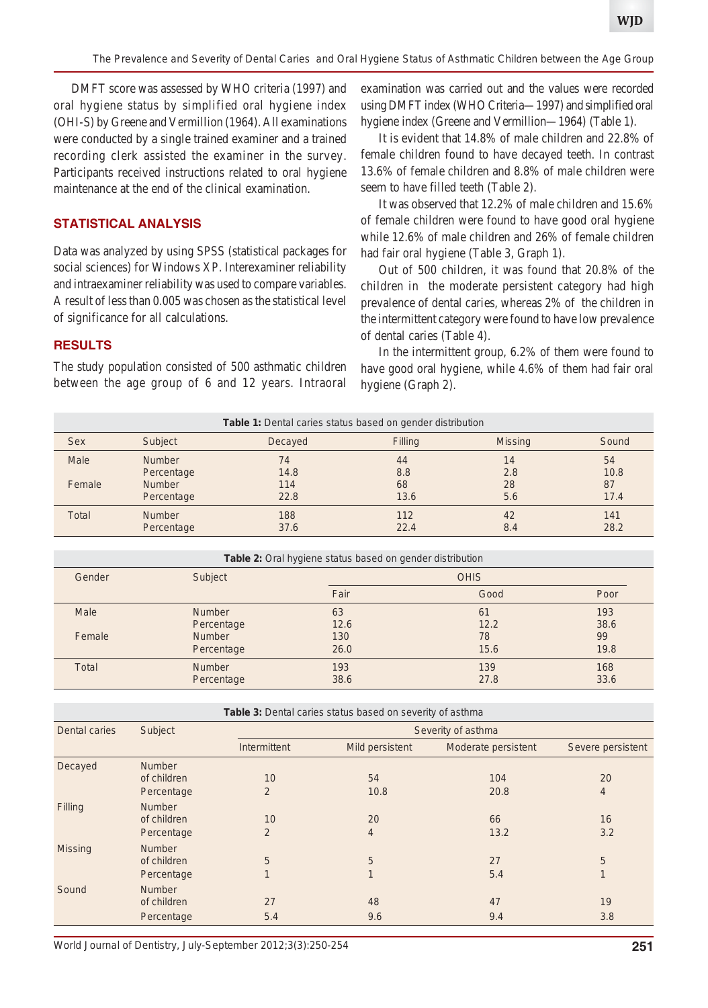*The Prevalence and Severity of Dental Caries and Oral Hygiene Status of Asthmatic Children between the Age Group*

DMFT score was assessed by WHO criteria (1997) and oral hygiene status by simplified oral hygiene index (OHI-S) by Greene and Vermillion (1964). All examinations were conducted by a single trained examiner and a trained recording clerk assisted the examiner in the survey. Participants received instructions related to oral hygiene maintenance at the end of the clinical examination.

### **STATISTICAL ANALYSIS**

Data was analyzed by using SPSS (statistical packages for social sciences) for Windows XP. Interexaminer reliability and intraexaminer reliability was used to compare variables. A result of less than 0.005 was chosen as the statistical level of significance for all calculations.

examination was carried out and the values were recorded using DMFT index (WHO Criteria—1997) and simplified oral hygiene index (Greene and Vermillion—1964) (Table 1).

It is evident that 14.8% of male children and 22.8% of female children found to have decayed teeth. In contrast 13.6% of female children and 8.8% of male children were seem to have filled teeth (Table 2).

It was observed that 12.2% of male children and 15.6% of female children were found to have good oral hygiene while 12.6% of male children and 26% of female children had fair oral hygiene (Table 3, Graph 1).

Out of 500 children, it was found that 20.8% of the children in the moderate persistent category had high prevalence of dental caries, whereas 2% of the children in the intermittent category were found to have low prevalence of dental caries (Table 4).

In the intermittent group, 6.2% of them were found to have good oral hygiene, while 4.6% of them had fair oral hygiene (Graph 2).

#### **RESULTS**

The study population consisted of 500 asthmatic children between the age group of 6 and 12 years. Intraoral

| <b>Table 1:</b> Dental caries status based on gender distribution |                             |             |             |                |             |  |
|-------------------------------------------------------------------|-----------------------------|-------------|-------------|----------------|-------------|--|
| Sex                                                               | <b>Subject</b>              | Decayed     | Filling     | <b>Missing</b> | Sound       |  |
| Male                                                              | <b>Number</b>               | 74<br>14.8  | 44          | 14<br>2.8      | 54<br>10.8  |  |
| Female                                                            | Percentage<br><b>Number</b> | 114         | 8.8<br>68   | 28             | 87          |  |
|                                                                   | Percentage                  | 22.8        | 13.6        | 5.6            | 17.4        |  |
| <b>Total</b>                                                      | <b>Number</b><br>Percentage | 188<br>37.6 | 112<br>22.4 | 42<br>8.4      | 141<br>28.2 |  |

**Table 2:** Oral hygiene status based on gender distribution

| Gender | Subject       | <b>OHIS</b> |      |      |  |
|--------|---------------|-------------|------|------|--|
|        |               | Fair        | Good | Poor |  |
| Male   | Number        | 63          | 61   | 193  |  |
|        | Percentage    | 12.6        | 12.2 | 38.6 |  |
| Female | <b>Number</b> | 130         | 78   | 99   |  |
|        | Percentage    | 26.0        | 15.6 | 19.8 |  |
| Total  | <b>Number</b> | 193         | 139  | 168  |  |
|        | Percentage    | 38.6        | 27.8 | 33.6 |  |

|  |  |  |  | Table 3: Dental caries status based on severity of asthma |
|--|--|--|--|-----------------------------------------------------------|

| Dental caries | Subject                                    | Severity of asthma   |                        |                     |                      |  |  |
|---------------|--------------------------------------------|----------------------|------------------------|---------------------|----------------------|--|--|
|               |                                            | <b>Intermittent</b>  | <b>Mild persistent</b> | Moderate persistent | Severe persistent    |  |  |
| Decayed       | <b>Number</b><br>of children<br>Percentage | 10<br>2              | 54<br>10.8             | 104<br>20.8         | 20<br>$\overline{4}$ |  |  |
| Filling       | <b>Number</b><br>of children<br>Percentage | 10<br>$\overline{2}$ | 20<br>$\overline{4}$   | 66<br>13.2          | 16<br>3.2            |  |  |
| Missing       | <b>Number</b><br>of children<br>Percentage | 5<br>1               | 5<br>$\mathbf{1}$      | 27<br>5.4           | 5<br>1               |  |  |
| Sound         | <b>Number</b><br>of children<br>Percentage | 27<br>5.4            | 48<br>9.6              | 47<br>9.4           | 19<br>3.8            |  |  |

*World Journal of Dentistry, July-September 2012;3(3):250-254* **251**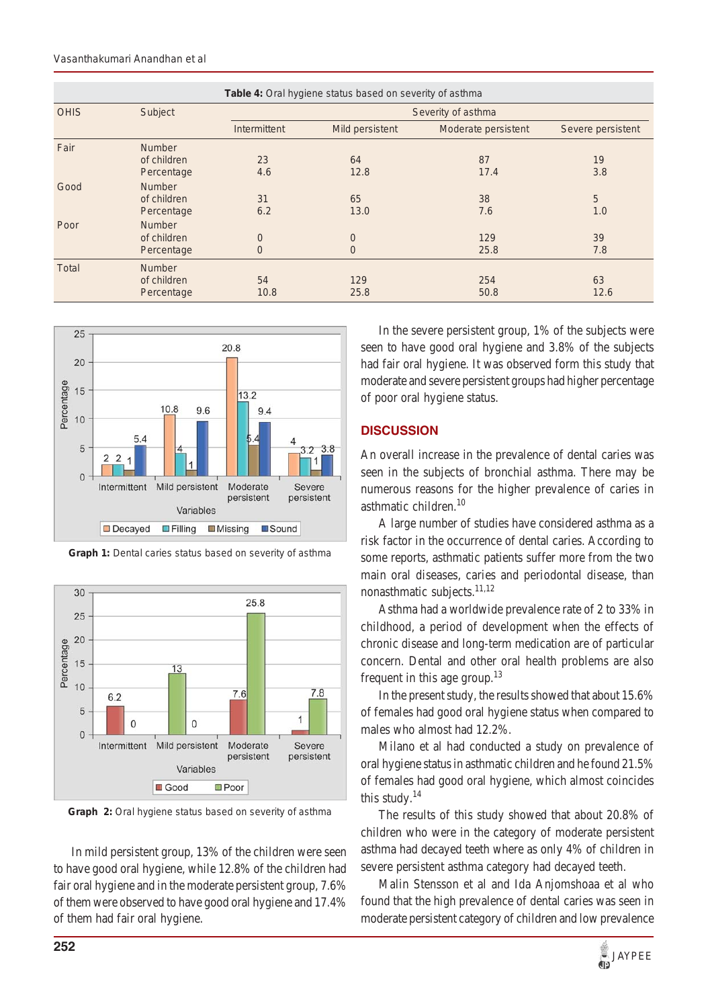| Table 4: Oral hygiene status based on severity of asthma |                                            |                                  |                                  |                     |                   |  |
|----------------------------------------------------------|--------------------------------------------|----------------------------------|----------------------------------|---------------------|-------------------|--|
| <b>OHIS</b>                                              | Subject                                    | Severity of asthma               |                                  |                     |                   |  |
|                                                          |                                            | <b>Intermittent</b>              | <b>Mild persistent</b>           | Moderate persistent | Severe persistent |  |
| Fair                                                     | <b>Number</b><br>of children<br>Percentage | 23<br>4.6                        | 64<br>12.8                       | 87<br>17.4          | 19<br>3.8         |  |
| Good                                                     | <b>Number</b><br>of children<br>Percentage | 31<br>6.2                        | 65<br>13.0                       | 38<br>7.6           | 5<br>1.0          |  |
| Poor                                                     | <b>Number</b><br>of children<br>Percentage | $\overline{0}$<br>$\overline{0}$ | $\overline{0}$<br>$\overline{0}$ | 129<br>25.8         | 39<br>7.8         |  |
| <b>Total</b>                                             | <b>Number</b><br>of children<br>Percentage | 54<br>10.8                       | 129<br>25.8                      | 254<br>50.8         | 63<br>12.6        |  |



**Graph 1:** Dental caries status based on severity of asthma



**Graph 2:** Oral hygiene status based on severity of asthma

In mild persistent group, 13% of the children were seen to have good oral hygiene, while 12.8% of the children had fair oral hygiene and in the moderate persistent group, 7.6% of them were observed to have good oral hygiene and 17.4% of them had fair oral hygiene.

In the severe persistent group, 1% of the subjects were seen to have good oral hygiene and 3.8% of the subjects had fair oral hygiene. It was observed form this study that moderate and severe persistent groups had higher percentage of poor oral hygiene status.

# **DISCUSSION**

An overall increase in the prevalence of dental caries was seen in the subjects of bronchial asthma. There may be numerous reasons for the higher prevalence of caries in asthmatic children.<sup>10</sup>

A large number of studies have considered asthma as a risk factor in the occurrence of dental caries. According to some reports, asthmatic patients suffer more from the two main oral diseases, caries and periodontal disease, than nonasthmatic subjects. $^{11,12}$ 

Asthma had a worldwide prevalence rate of 2 to 33% in childhood, a period of development when the effects of chronic disease and long-term medication are of particular concern. Dental and other oral health problems are also frequent in this age group.<sup>13</sup>

In the present study, the results showed that about 15.6% of females had good oral hygiene status when compared to males who almost had 12.2%.

Milano et al had conducted a study on prevalence of oral hygiene status in asthmatic children and he found 21.5% of females had good oral hygiene, which almost coincides this study. $14$ 

The results of this study showed that about 20.8% of children who were in the category of moderate persistent asthma had decayed teeth where as only 4% of children in severe persistent asthma category had decayed teeth.

Malin Stensson et al and Ida Anjomshoaa et al who found that the high prevalence of dental caries was seen in moderate persistent category of children and low prevalence

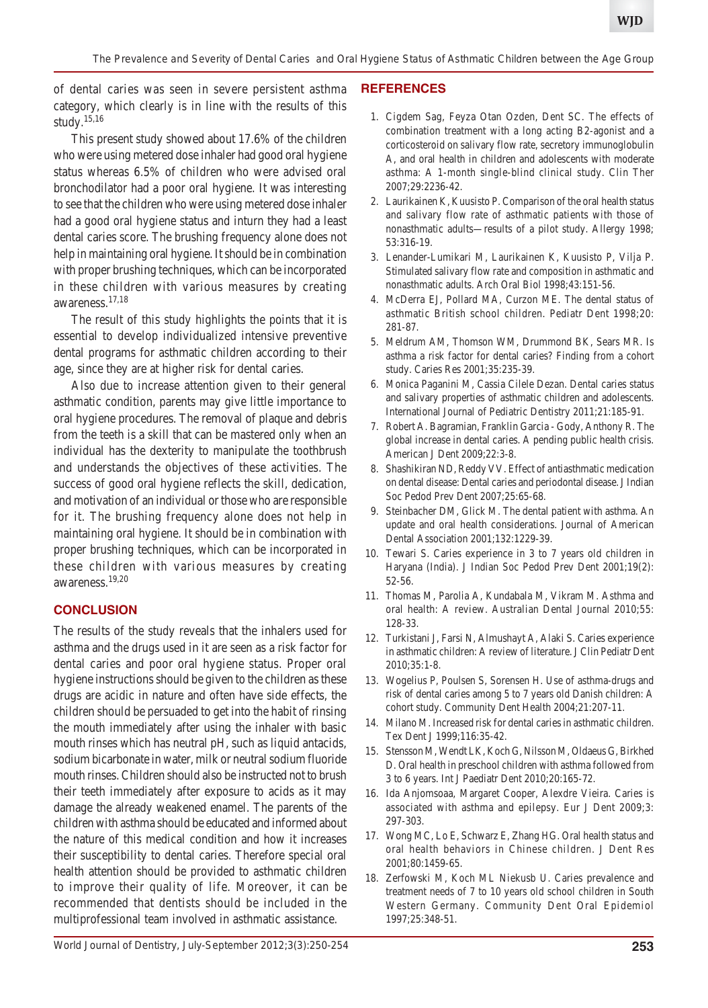of dental caries was seen in severe persistent asthma category, which clearly is in line with the results of this study.15,16

This present study showed about 17.6% of the children who were using metered dose inhaler had good oral hygiene status whereas 6.5% of children who were advised oral bronchodilator had a poor oral hygiene. It was interesting to see that the children who were using metered dose inhaler had a good oral hygiene status and inturn they had a least dental caries score. The brushing frequency alone does not help in maintaining oral hygiene. It should be in combination with proper brushing techniques, which can be incorporated in these children with various measures by creating awareness.17,18

The result of this study highlights the points that it is essential to develop individualized intensive preventive dental programs for asthmatic children according to their age, since they are at higher risk for dental caries.

Also due to increase attention given to their general asthmatic condition, parents may give little importance to oral hygiene procedures. The removal of plaque and debris from the teeth is a skill that can be mastered only when an individual has the dexterity to manipulate the toothbrush and understands the objectives of these activities. The success of good oral hygiene reflects the skill, dedication, and motivation of an individual or those who are responsible for it. The brushing frequency alone does not help in maintaining oral hygiene. It should be in combination with proper brushing techniques, which can be incorporated in these children with various measures by creating awareness.19,20

### **CONCLUSION**

The results of the study reveals that the inhalers used for asthma and the drugs used in it are seen as a risk factor for dental caries and poor oral hygiene status. Proper oral hygiene instructions should be given to the children as these drugs are acidic in nature and often have side effects, the children should be persuaded to get into the habit of rinsing the mouth immediately after using the inhaler with basic mouth rinses which has neutral pH, such as liquid antacids, sodium bicarbonate in water, milk or neutral sodium fluoride mouth rinses. Children should also be instructed not to brush their teeth immediately after exposure to acids as it may damage the already weakened enamel. The parents of the children with asthma should be educated and informed about the nature of this medical condition and how it increases their susceptibility to dental caries. Therefore special oral health attention should be provided to asthmatic children to improve their quality of life. Moreover, it can be recommended that dentists should be included in the multiprofessional team involved in asthmatic assistance.

#### **REFERENCES**

- 1. Cigdem Sag, Feyza Otan Ozden, Dent SC. The effects of combination treatment with a long acting B2-agonist and a corticosteroid on salivary flow rate, secretory immunoglobulin A, and oral health in children and adolescents with moderate asthma: A 1-month single-blind clinical study. Clin Ther 2007;29:2236-42.
- 2. Laurikainen K, Kuusisto P. Comparison of the oral health status and salivary flow rate of asthmatic patients with those of nonasthmatic adults—results of a pilot study. Allergy 1998; 53:316-19.
- 3. Lenander-Lumikari M, Laurikainen K, Kuusisto P, Vilja P. Stimulated salivary flow rate and composition in asthmatic and nonasthmatic adults. Arch Oral Biol 1998;43:151-56.
- 4. McDerra EJ, Pollard MA, Curzon ME. The dental status of asthmatic British school children. Pediatr Dent 1998;20: 281-87.
- 5. Meldrum AM, Thomson WM, Drummond BK, Sears MR. Is asthma a risk factor for dental caries? Finding from a cohort study. Caries Res 2001;35:235-39.
- 6. Monica Paganini M, Cassia Cilele Dezan. Dental caries status and salivary properties of asthmatic children and adolescents. International Journal of Pediatric Dentistry 2011;21:185-91.
- 7. Robert A. Bagramian, Franklin Garcia Gody, Anthony R. The global increase in dental caries. A pending public health crisis. American J Dent 2009;22:3-8.
- 8. Shashikiran ND, Reddy VV. Effect of antiasthmatic medication on dental disease: Dental caries and periodontal disease. J Indian Soc Pedod Prev Dent 2007;25:65-68.
- 9. Steinbacher DM, Glick M. The dental patient with asthma. An update and oral health considerations. Journal of American Dental Association 2001;132:1229-39.
- 10. Tewari S. Caries experience in 3 to 7 years old children in Haryana (India). J Indian Soc Pedod Prev Dent 2001;19(2): 52-56.
- 11. Thomas M, Parolia A, Kundabala M, Vikram M. Asthma and oral health: A review. Australian Dental Journal 2010;55: 128-33.
- 12. Turkistani J, Farsi N, Almushayt A, Alaki S. Caries experience in asthmatic children: A review of literature. J Clin Pediatr Dent 2010;35:1-8.
- 13. Wogelius P, Poulsen S, Sorensen H. Use of asthma-drugs and risk of dental caries among 5 to 7 years old Danish children: A cohort study. Community Dent Health 2004;21:207-11.
- 14. Milano M. Increased risk for dental caries in asthmatic children. Tex Dent J 1999;116:35-42.
- 15. Stensson M, Wendt LK, Koch G, Nilsson M, Oldaeus G, Birkhed D. Oral health in preschool children with asthma followed from 3 to 6 years. Int J Paediatr Dent 2010;20:165-72.
- 16. Ida Anjomsoaa, Margaret Cooper, Alexdre Vieira. Caries is associated with asthma and epilepsy. Eur J Dent 2009;3: 297-303.
- 17. Wong MC, Lo E, Schwarz E, Zhang HG. Oral health status and oral health behaviors in Chinese children. J Dent Res 2001;80:1459-65.
- 18. Zerfowski M, Koch ML Niekusb U. Caries prevalence and treatment needs of 7 to 10 years old school children in South Western Germany. Community Dent Oral Epidemiol 1997;25:348-51.